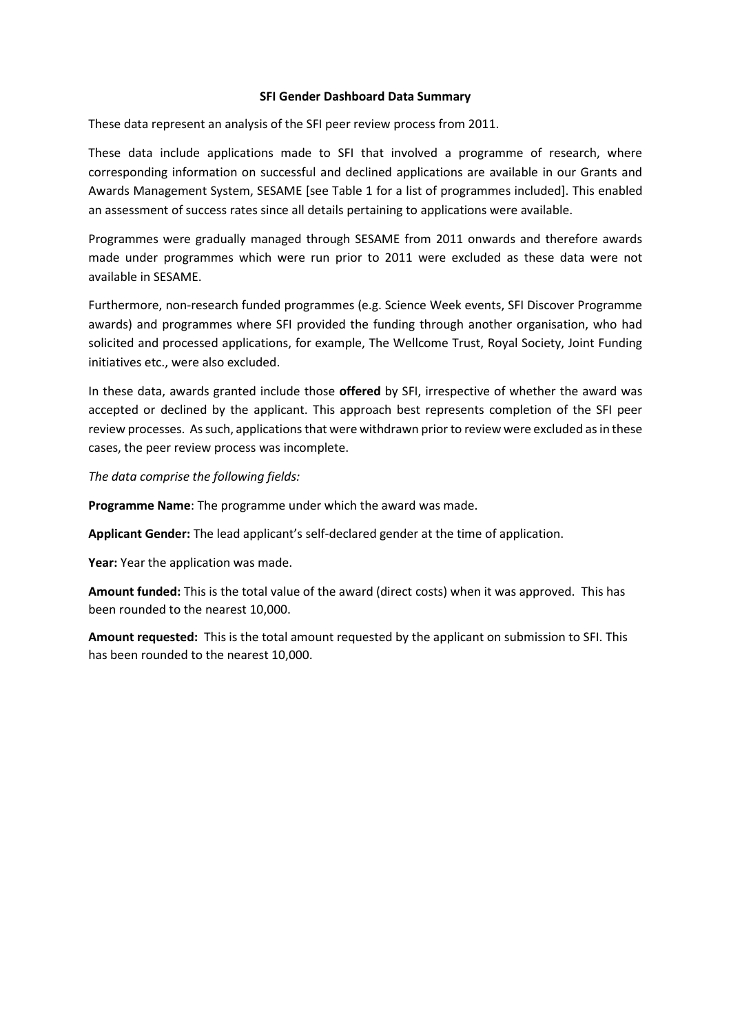## **SFI Gender Dashboard Data Summary**

These data represent an analysis of the SFI peer review process from 2011.

These data include applications made to SFI that involved a programme of research, where corresponding information on successful and declined applications are available in our Grants and Awards Management System, SESAME [see Table 1 for a list of programmes included]. This enabled an assessment of success rates since all details pertaining to applications were available.

Programmes were gradually managed through SESAME from 2011 onwards and therefore awards made under programmes which were run prior to 2011 were excluded as these data were not available in SESAME.

Furthermore, non-research funded programmes (e.g. Science Week events, SFI Discover Programme awards) and programmes where SFI provided the funding through another organisation, who had solicited and processed applications, for example, The Wellcome Trust, Royal Society, Joint Funding initiatives etc., were also excluded.

In these data, awards granted include those **offered** by SFI, irrespective of whether the award was accepted or declined by the applicant. This approach best represents completion of the SFI peer review processes. As such, applications that were withdrawn prior to review were excluded as in these cases, the peer review process was incomplete.

*The data comprise the following fields:*

**Programme Name**: The programme under which the award was made.

**Applicant Gender:** The lead applicant's self-declared gender at the time of application.

**Year:** Year the application was made.

**Amount funded:** This is the total value of the award (direct costs) when it was approved. This has been rounded to the nearest 10,000.

**Amount requested:** This is the total amount requested by the applicant on submission to SFI. This has been rounded to the nearest 10,000.